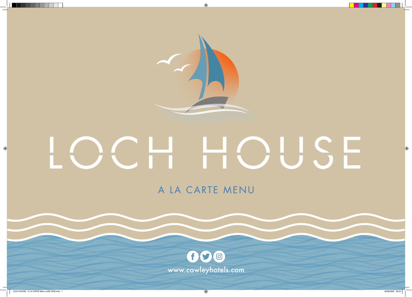

 $\bigoplus$ 

# LOCH HOUSE



 $\langle \clubsuit \rangle$  26/06/2020 09:22 and 1 26/06/2020 09:22

 $\bigoplus$ 



 $\bigoplus$ 

# A LA CARTE MENU